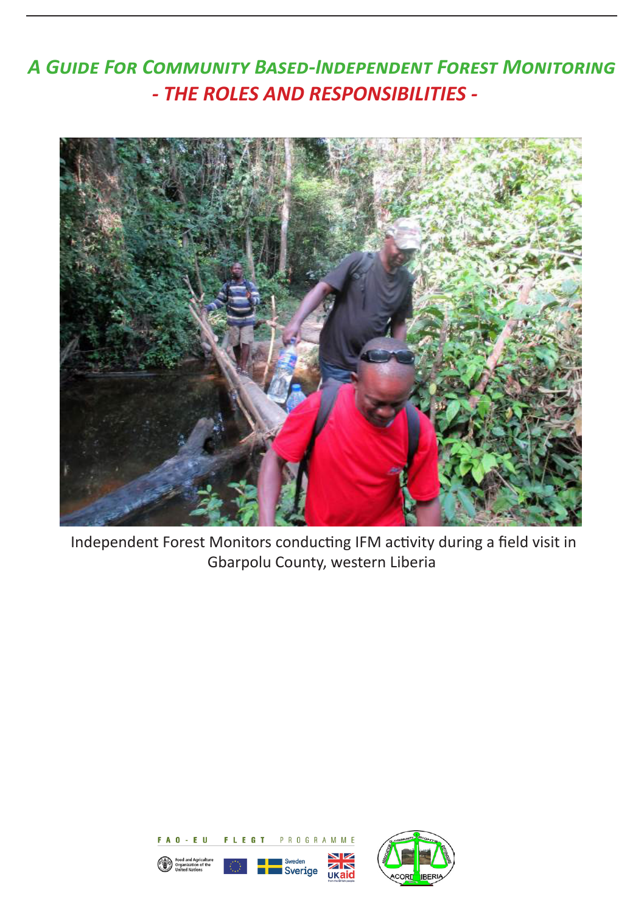*A Guide For Community Based-Independent Forest Monitoring - THE ROLES AND RESPONSIBILITIES -*



 Independent Forest Monitors conducting IFM activity during a field visit in Gbarpolu County, western Liberia



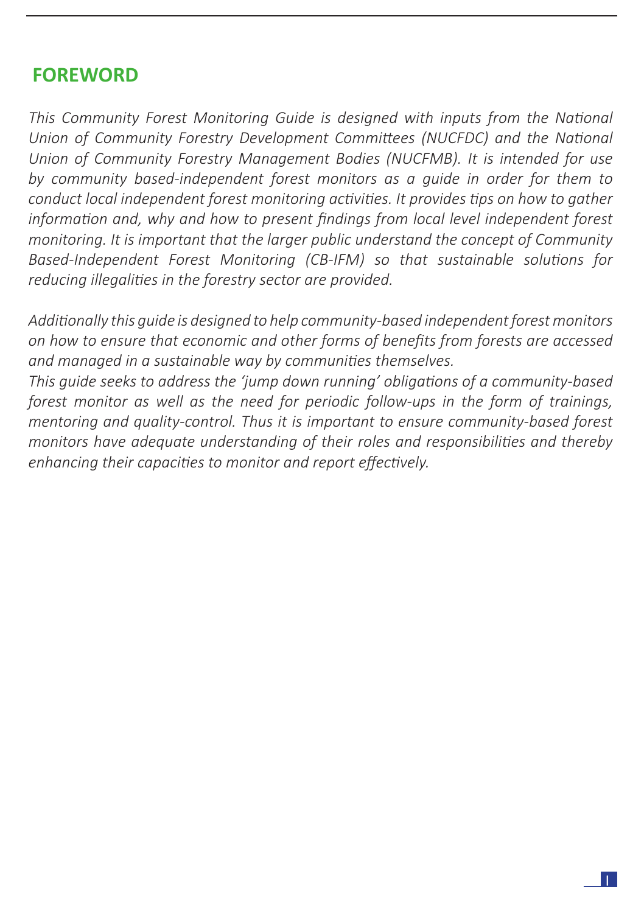# **FOREWORD**

*This Community Forest Monitoring Guide is designed with inputs from the National Union of Community Forestry Development Committees (NUCFDC) and the National Union of Community Forestry Management Bodies (NUCFMB). It is intended for use by community based-independent forest monitors as a guide in order for them to conduct local independent forest monitoring activities. It provides tips on how to gather information and, why and how to present findings from local level independent forest monitoring. It is important that the larger public understand the concept of Community Based-Independent Forest Monitoring (CB-IFM) so that sustainable solutions for reducing illegalities in the forestry sector are provided.*

*Additionally this guide is designed to help community-based independent forest monitors on how to ensure that economic and other forms of benefits from forests are accessed and managed in a sustainable way by communities themselves.* 

*This guide seeks to address the 'jump down running' obligations of a community-based forest monitor as well as the need for periodic follow-ups in the form of trainings, mentoring and quality-control. Thus it is important to ensure community-based forest monitors have adequate understanding of their roles and responsibilities and thereby enhancing their capacities to monitor and report effectively.* 

I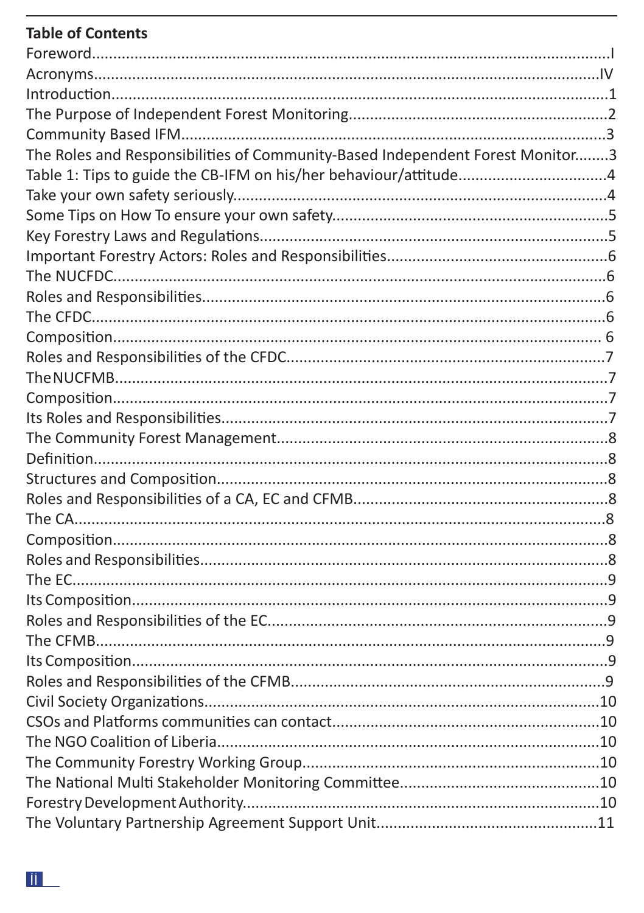# **Table of Contents**

| The Roles and Responsibilities of Community-Based Independent Forest Monitor3 |  |
|-------------------------------------------------------------------------------|--|
| Table 1: Tips to guide the CB-IFM on his/her behaviour/attitude4              |  |
|                                                                               |  |
|                                                                               |  |
|                                                                               |  |
|                                                                               |  |
|                                                                               |  |
|                                                                               |  |
|                                                                               |  |
|                                                                               |  |
|                                                                               |  |
|                                                                               |  |
|                                                                               |  |
|                                                                               |  |
|                                                                               |  |
|                                                                               |  |
|                                                                               |  |
|                                                                               |  |
|                                                                               |  |
|                                                                               |  |
|                                                                               |  |
|                                                                               |  |
|                                                                               |  |
|                                                                               |  |
|                                                                               |  |
|                                                                               |  |
|                                                                               |  |
|                                                                               |  |
|                                                                               |  |
|                                                                               |  |
|                                                                               |  |
|                                                                               |  |
|                                                                               |  |
|                                                                               |  |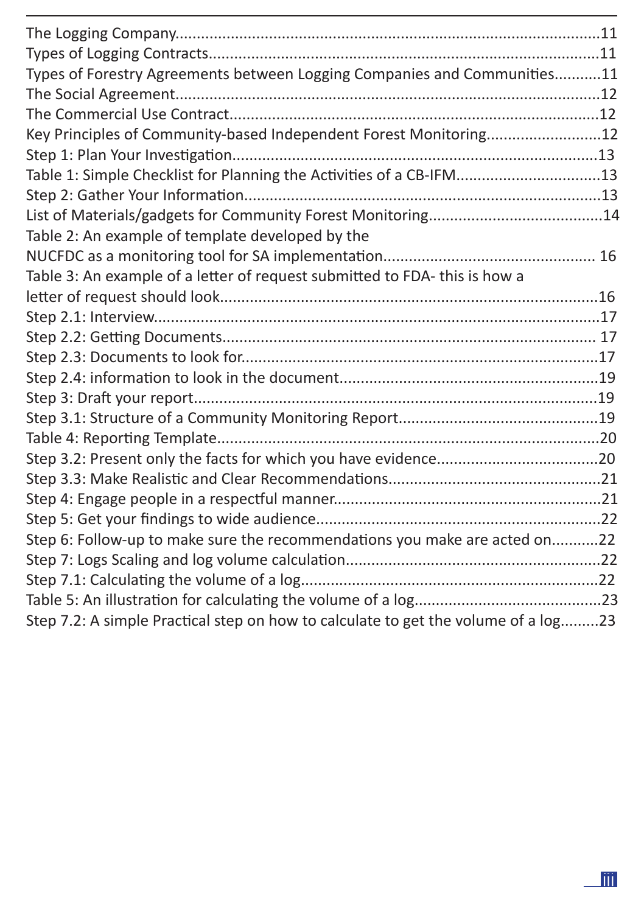| Types of Forestry Agreements between Logging Companies and Communities11           |  |
|------------------------------------------------------------------------------------|--|
|                                                                                    |  |
|                                                                                    |  |
| Key Principles of Community-based Independent Forest Monitoring12                  |  |
|                                                                                    |  |
| Table 1: Simple Checklist for Planning the Activities of a CB-IFM13                |  |
|                                                                                    |  |
|                                                                                    |  |
| Table 2: An example of template developed by the                                   |  |
|                                                                                    |  |
| Table 3: An example of a letter of request submitted to FDA- this is how a         |  |
|                                                                                    |  |
|                                                                                    |  |
|                                                                                    |  |
|                                                                                    |  |
|                                                                                    |  |
|                                                                                    |  |
|                                                                                    |  |
|                                                                                    |  |
|                                                                                    |  |
|                                                                                    |  |
|                                                                                    |  |
|                                                                                    |  |
| Step 6: Follow-up to make sure the recommendations you make are acted on22         |  |
|                                                                                    |  |
|                                                                                    |  |
|                                                                                    |  |
| Step 7.2: A simple Practical step on how to calculate to get the volume of a log23 |  |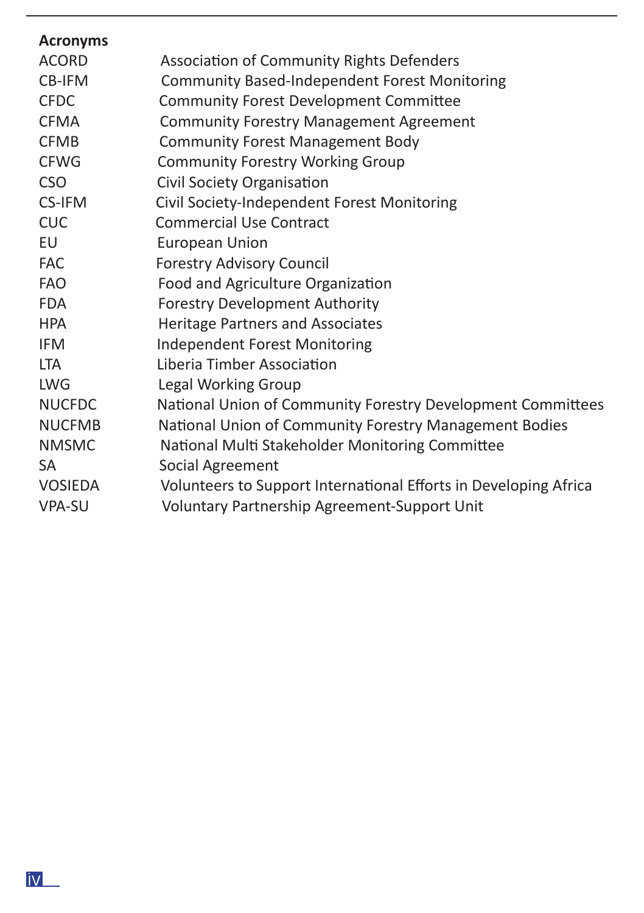| <b>Acronyms</b> |                                                                  |
|-----------------|------------------------------------------------------------------|
| <b>ACORD</b>    | Association of Community Rights Defenders                        |
| CB-IFM          | <b>Community Based-Independent Forest Monitoring</b>             |
| <b>CFDC</b>     | <b>Community Forest Development Committee</b>                    |
| <b>CFMA</b>     | <b>Community Forestry Management Agreement</b>                   |
| <b>CFMB</b>     | <b>Community Forest Management Body</b>                          |
| <b>CFWG</b>     | <b>Community Forestry Working Group</b>                          |
| <b>CSO</b>      | Civil Society Organisation                                       |
| CS-IFM          | Civil Society-Independent Forest Monitoring                      |
| <b>CUC</b>      | <b>Commercial Use Contract</b>                                   |
| EU              | <b>European Union</b>                                            |
| <b>FAC</b>      | <b>Forestry Advisory Council</b>                                 |
| <b>FAO</b>      | Food and Agriculture Organization                                |
| <b>FDA</b>      | Forestry Development Authority                                   |
| <b>HPA</b>      | <b>Heritage Partners and Associates</b>                          |
| IFM             | <b>Independent Forest Monitoring</b>                             |
| <b>LTA</b>      | Liberia Timber Association                                       |
| <b>LWG</b>      | Legal Working Group                                              |
| <b>NUCFDC</b>   | National Union of Community Forestry Development Committees      |
| <b>NUCFMB</b>   | National Union of Community Forestry Management Bodies           |
| <b>NMSMC</b>    | National Multi Stakeholder Monitoring Committee                  |
| <b>SA</b>       | Social Agreement                                                 |
| <b>VOSIEDA</b>  | Volunteers to Support International Efforts in Developing Africa |
| <b>VPA-SU</b>   | Voluntary Partnership Agreement-Support Unit                     |
|                 |                                                                  |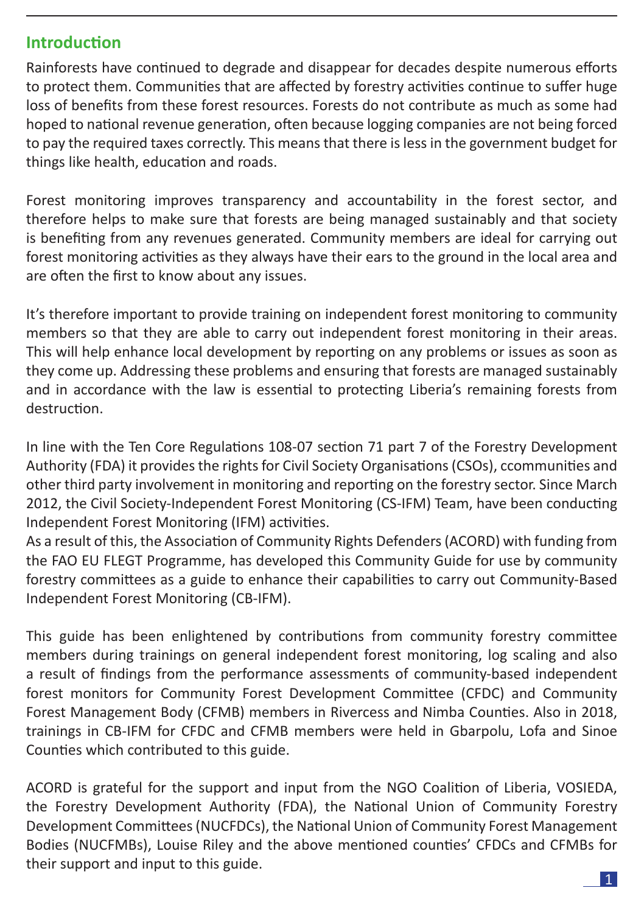# **Introduction**

Rainforests have continued to degrade and disappear for decades despite numerous efforts to protect them. Communities that are affected by forestry activities continue to suffer huge loss of benefits from these forest resources. Forests do not contribute as much as some had hoped to national revenue generation, often because logging companies are not being forced to pay the required taxes correctly. This means that there is less in the government budget for things like health, education and roads.

Forest monitoring improves transparency and accountability in the forest sector, and therefore helps to make sure that forests are being managed sustainably and that society is benefiting from any revenues generated. Community members are ideal for carrying out forest monitoring activities as they always have their ears to the ground in the local area and are often the first to know about any issues.

It's therefore important to provide training on independent forest monitoring to community members so that they are able to carry out independent forest monitoring in their areas. This will help enhance local development by reporting on any problems or issues as soon as they come up. Addressing these problems and ensuring that forests are managed sustainably and in accordance with the law is essential to protecting Liberia's remaining forests from destruction.

In line with the Ten Core Regulations 108-07 section 71 part 7 of the Forestry Development Authority (FDA) it provides the rights for Civil Society Organisations (CSOs), ccommunities and other third party involvement in monitoring and reporting on the forestry sector. Since March 2012, the Civil Society-Independent Forest Monitoring (CS-IFM) Team, have been conducting Independent Forest Monitoring (IFM) activities.

As a result of this, the Association of Community Rights Defenders (ACORD) with funding from the FAO EU FLEGT Programme, has developed this Community Guide for use by community forestry committees as a guide to enhance their capabilities to carry out Community-Based Independent Forest Monitoring (CB-IFM).

This guide has been enlightened by contributions from community forestry committee members during trainings on general independent forest monitoring, log scaling and also a result of findings from the performance assessments of community-based independent forest monitors for Community Forest Development Committee (CFDC) and Community Forest Management Body (CFMB) members in Rivercess and Nimba Counties. Also in 2018, trainings in CB-IFM for CFDC and CFMB members were held in Gbarpolu, Lofa and Sinoe Counties which contributed to this guide.

ACORD is grateful for the support and input from the NGO Coalition of Liberia, VOSIEDA, the Forestry Development Authority (FDA), the National Union of Community Forestry Development Committees (NUCFDCs), the National Union of Community Forest Management Bodies (NUCFMBs), Louise Riley and the above mentioned counties' CFDCs and CFMBs for their support and input to this guide.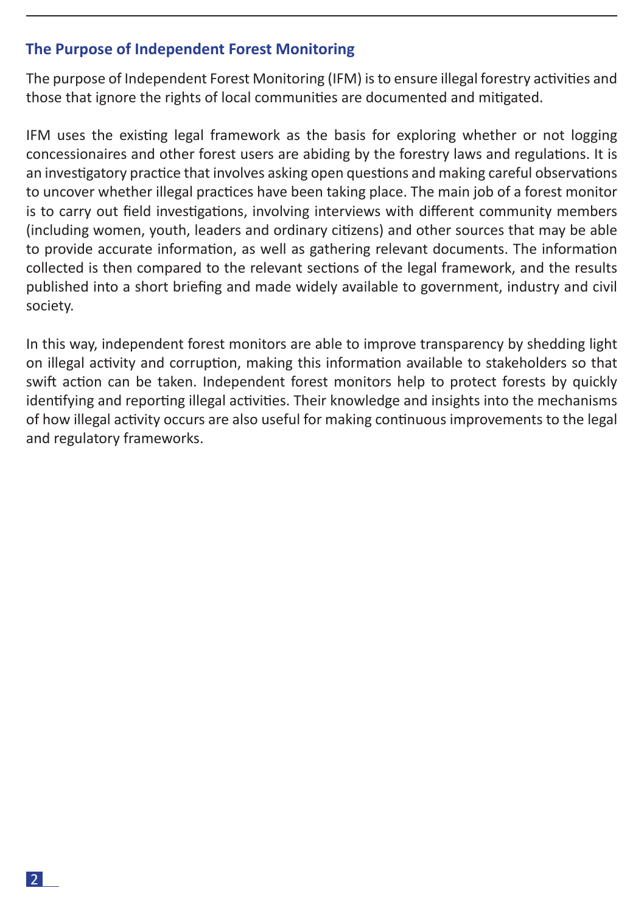### **The Purpose of Independent Forest Monitoring**

The purpose of Independent Forest Monitoring (IFM) is to ensure illegal forestry activities and those that ignore the rights of local communities are documented and mitigated.

IFM uses the existing legal framework as the basis for exploring whether or not logging concessionaires and other forest users are abiding by the forestry laws and regulations. It is an investigatory practice that involves asking open questions and making careful observations to uncover whether illegal practices have been taking place. The main job of a forest monitor is to carry out field investigations, involving interviews with different community members (including women, youth, leaders and ordinary citizens) and other sources that may be able to provide accurate information, as well as gathering relevant documents. The information collected is then compared to the relevant sections of the legal framework, and the results published into a short briefing and made widely available to government, industry and civil society.

In this way, independent forest monitors are able to improve transparency by shedding light on illegal activity and corruption, making this information available to stakeholders so that swift action can be taken. Independent forest monitors help to protect forests by quickly identifying and reporting illegal activities. Their knowledge and insights into the mechanisms of how illegal activity occurs are also useful for making continuous improvements to the legal and regulatory frameworks.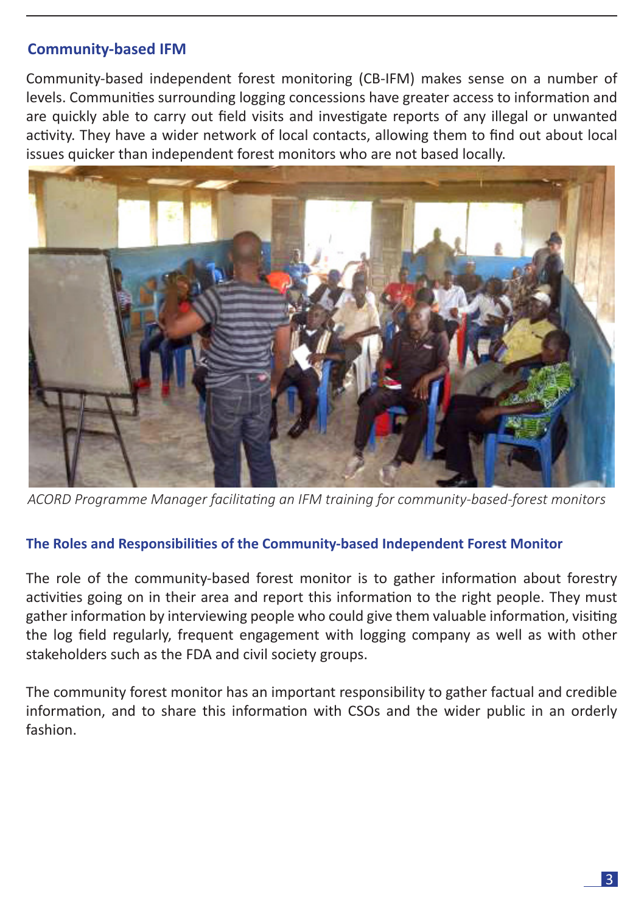# **Community-based IFM**

Community-based independent forest monitoring (CB-IFM) makes sense on a number of levels. Communities surrounding logging concessions have greater access to information and are quickly able to carry out field visits and investigate reports of any illegal or unwanted activity. They have a wider network of local contacts, allowing them to find out about local issues quicker than independent forest monitors who are not based locally.



*ACORD Programme Manager facilitating an IFM training for community-based-forest monitors*

#### **The Roles and Responsibilities of the Community-based Independent Forest Monitor**

The role of the community-based forest monitor is to gather information about forestry activities going on in their area and report this information to the right people. They must gather information by interviewing people who could give them valuable information, visiting the log field regularly, frequent engagement with logging company as well as with other stakeholders such as the FDA and civil society groups.

The community forest monitor has an important responsibility to gather factual and credible information, and to share this information with CSOs and the wider public in an orderly fashion.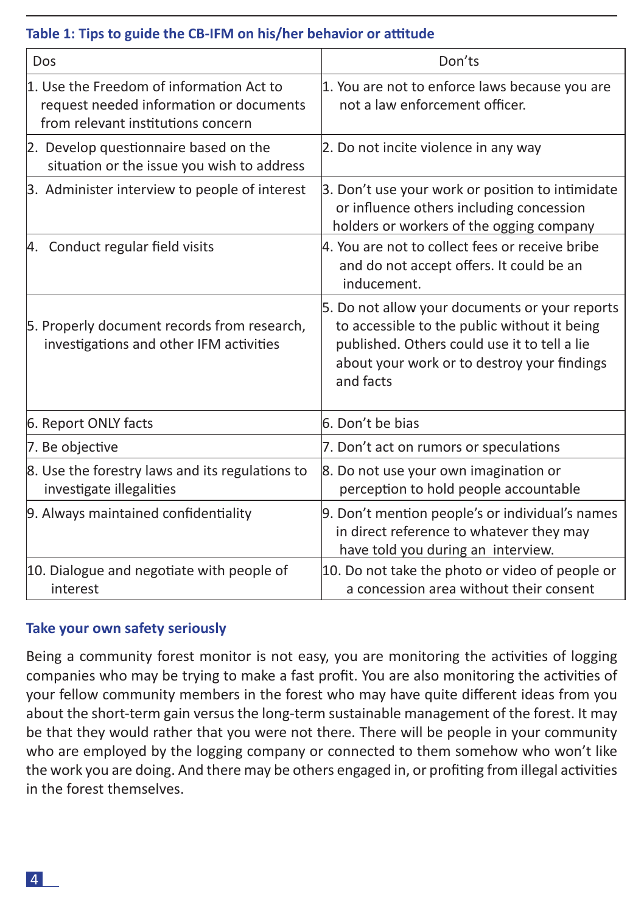|  |  |  |  |  |  | Table 1: Tips to guide the CB-IFM on his/her behavior or attitude |
|--|--|--|--|--|--|-------------------------------------------------------------------|
|--|--|--|--|--|--|-------------------------------------------------------------------|

| Dos                                                                                                                       | Don'ts                                                                                                                                                                                                     |
|---------------------------------------------------------------------------------------------------------------------------|------------------------------------------------------------------------------------------------------------------------------------------------------------------------------------------------------------|
| 1. Use the Freedom of information Act to<br>request needed information or documents<br>from relevant institutions concern | 1. You are not to enforce laws because you are<br>not a law enforcement officer.                                                                                                                           |
| 2. Develop questionnaire based on the<br>situation or the issue you wish to address                                       | 2. Do not incite violence in any way                                                                                                                                                                       |
| 3. Administer interview to people of interest                                                                             | 3. Don't use your work or position to intimidate<br>or influence others including concession<br>holders or workers of the ogging company                                                                   |
| 4. Conduct regular field visits                                                                                           | 4. You are not to collect fees or receive bribe<br>and do not accept offers. It could be an<br>inducement.                                                                                                 |
| 5. Properly document records from research,<br>investigations and other IFM activities                                    | 5. Do not allow your documents or your reports<br>to accessible to the public without it being<br>published. Others could use it to tell a lie<br>about your work or to destroy your findings<br>and facts |
| 6. Report ONLY facts                                                                                                      | 6. Don't be bias                                                                                                                                                                                           |
| 7. Be objective                                                                                                           | 7. Don't act on rumors or speculations                                                                                                                                                                     |
| 8. Use the forestry laws and its regulations to<br>investigate illegalities                                               | 8. Do not use your own imagination or<br>perception to hold people accountable                                                                                                                             |
| 9. Always maintained confidentiality                                                                                      | 9. Don't mention people's or individual's names<br>in direct reference to whatever they may<br>have told you during an interview.                                                                          |
| 10. Dialogue and negotiate with people of<br>interest                                                                     | 10. Do not take the photo or video of people or<br>a concession area without their consent                                                                                                                 |

#### **Take your own safety seriously**

Being a community forest monitor is not easy, you are monitoring the activities of logging companies who may be trying to make a fast profit. You are also monitoring the activities of your fellow community members in the forest who may have quite different ideas from you about the short-term gain versus the long-term sustainable management of the forest. It may be that they would rather that you were not there. There will be people in your community who are employed by the logging company or connected to them somehow who won't like the work you are doing. And there may be others engaged in, or profiting from illegal activities in the forest themselves.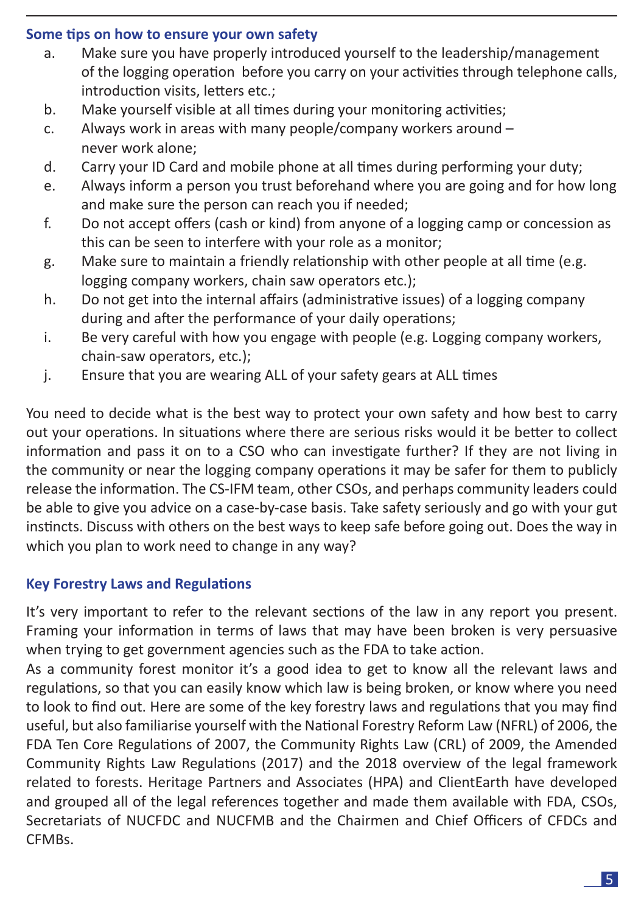### **Some tips on how to ensure your own safety**

- a. Make sure you have properly introduced yourself to the leadership/management of the logging operation before you carry on your activities through telephone calls, introduction visits, letters etc.;
- b. Make yourself visible at all times during your monitoring activities;
- c. Always work in areas with many people/company workers around never work alone;
- d. Carry your ID Card and mobile phone at all times during performing your duty;
- e. Always inform a person you trust beforehand where you are going and for how long and make sure the person can reach you if needed;
- f. Do not accept offers (cash or kind) from anyone of a logging camp or concession as this can be seen to interfere with your role as a monitor;
- g. Make sure to maintain a friendly relationship with other people at all time (e.g. logging company workers, chain saw operators etc.);
- h. Do not get into the internal affairs (administrative issues) of a logging company during and after the performance of your daily operations;
- i. Be very careful with how you engage with people (e.g. Logging company workers, chain-saw operators, etc.);
- j. Ensure that you are wearing ALL of your safety gears at ALL times

You need to decide what is the best way to protect your own safety and how best to carry out your operations. In situations where there are serious risks would it be better to collect information and pass it on to a CSO who can investigate further? If they are not living in the community or near the logging company operations it may be safer for them to publicly release the information. The CS-IFM team, other CSOs, and perhaps community leaders could be able to give you advice on a case-by-case basis. Take safety seriously and go with your gut instincts. Discuss with others on the best ways to keep safe before going out. Does the way in which you plan to work need to change in any way?

# **Key Forestry Laws and Regulations**

It's very important to refer to the relevant sections of the law in any report you present. Framing your information in terms of laws that may have been broken is very persuasive when trying to get government agencies such as the FDA to take action.

As a community forest monitor it's a good idea to get to know all the relevant laws and regulations, so that you can easily know which law is being broken, or know where you need to look to find out. Here are some of the key forestry laws and regulations that you may find useful, but also familiarise yourself with the National Forestry Reform Law (NFRL) of 2006, the FDA Ten Core Regulations of 2007, the Community Rights Law (CRL) of 2009, the Amended Community Rights Law Regulations (2017) and the 2018 overview of the legal framework related to forests. Heritage Partners and Associates (HPA) and ClientEarth have developed and grouped all of the legal references together and made them available with FDA, CSOs, Secretariats of NUCFDC and NUCFMB and the Chairmen and Chief Officers of CFDCs and **CFMBs**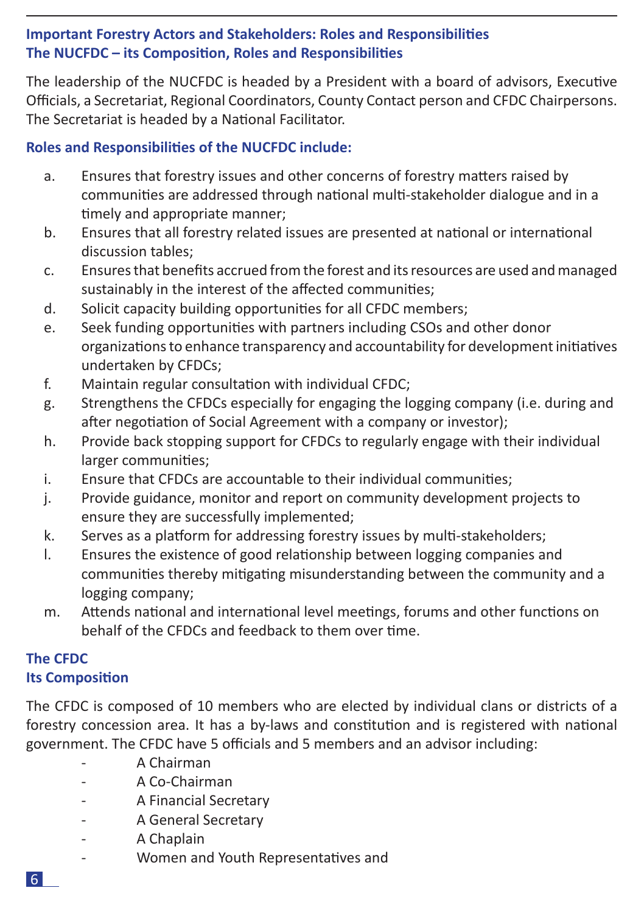# **Important Forestry Actors and Stakeholders: Roles and Responsibilities The NUCFDC – its Composition, Roles and Responsibilities**

The leadership of the NUCFDC is headed by a President with a board of advisors, Executive Officials, a Secretariat, Regional Coordinators, County Contact person and CFDC Chairpersons. The Secretariat is headed by a National Facilitator.

### **Roles and Responsibilities of the NUCFDC include:**

- a. Ensures that forestry issues and other concerns of forestry matters raised by communities are addressed through national multi-stakeholder dialogue and in a timely and appropriate manner;
- b. Ensures that all forestry related issues are presented at national or international discussion tables;
- c. Ensures that benefits accrued from the forest and its resources are used and managed sustainably in the interest of the affected communities;
- d. Solicit capacity building opportunities for all CFDC members;
- e. Seek funding opportunities with partners including CSOs and other donor organizations to enhance transparency and accountability for development initiatives undertaken by CFDCs;
- f. Maintain regular consultation with individual CFDC;
- g. Strengthens the CFDCs especially for engaging the logging company (i.e. during and after negotiation of Social Agreement with a company or investor);
- h. Provide back stopping support for CFDCs to regularly engage with their individual larger communities;
- i. Ensure that CFDCs are accountable to their individual communities;
- j. Provide guidance, monitor and report on community development projects to ensure they are successfully implemented;
- k. Serves as a platform for addressing forestry issues by multi-stakeholders;
- l. Ensures the existence of good relationship between logging companies and communities thereby mitigating misunderstanding between the community and a logging company;
- m. Attends national and international level meetings, forums and other functions on behalf of the CFDCs and feedback to them over time.

### **The CFDC Its Composition**

The CFDC is composed of 10 members who are elected by individual clans or districts of a forestry concession area. It has a by-laws and constitution and is registered with national government. The CFDC have 5 officials and 5 members and an advisor including:

- A Chairman
- A Co-Chairman
- A Financial Secretary
- A General Secretary
- A Chaplain
- Women and Youth Representatives and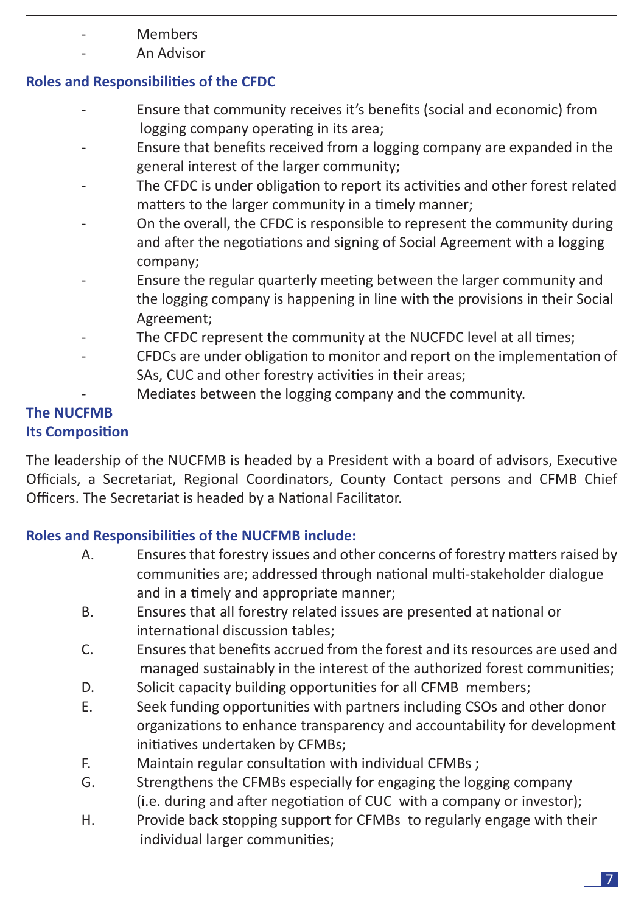- **Memhers**
- An Advisor

### **Roles and Responsibilities of the CFDC**

- Ensure that community receives it's benefits (social and economic) from logging company operating in its area;
- Ensure that benefits received from a logging company are expanded in the general interest of the larger community;
- The CFDC is under obligation to report its activities and other forest related matters to the larger community in a timely manner;
- On the overall, the CFDC is responsible to represent the community during and after the negotiations and signing of Social Agreement with a logging company;
- Ensure the regular quarterly meeting between the larger community and the logging company is happening in line with the provisions in their Social Agreement;
- The CFDC represent the community at the NUCFDC level at all times;
- CFDCs are under obligation to monitor and report on the implementation of SAs, CUC and other forestry activities in their areas;
- Mediates between the logging company and the community.

#### **The NUCFMB Its Composition**

The leadership of the NUCFMB is headed by a President with a board of advisors, Executive Officials, a Secretariat, Regional Coordinators, County Contact persons and CFMB Chief Officers. The Secretariat is headed by a National Facilitator.

### **Roles and Responsibilities of the NUCFMB include:**

- A. Ensures that forestry issues and other concerns of forestry matters raised by communities are; addressed through national multi-stakeholder dialogue and in a timely and appropriate manner;
- B. Ensures that all forestry related issues are presented at national or international discussion tables;
- C. Ensures that benefits accrued from the forest and its resources are used and managed sustainably in the interest of the authorized forest communities;
- D. Solicit capacity building opportunities for all CFMB members;
- E. Seek funding opportunities with partners including CSOs and other donor organizations to enhance transparency and accountability for development initiatives undertaken by CFMBs;
- F. Maintain regular consultation with individual CFMBs ;
- G. Strengthens the CFMBs especially for engaging the logging company (i.e. during and after negotiation of CUC with a company or investor);
- H. Provide back stopping support for CFMBs to regularly engage with their individual larger communities;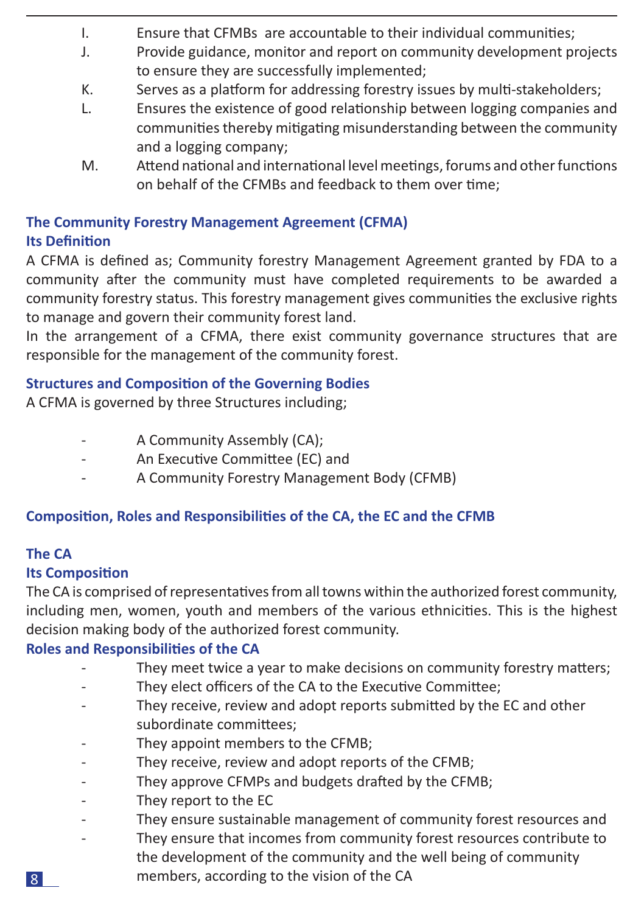- I. Ensure that CFMBs are accountable to their individual communities;
- J. Provide guidance, monitor and report on community development projects to ensure they are successfully implemented;
- K. Serves as a platform for addressing forestry issues by multi-stakeholders;
- L. Ensures the existence of good relationship between logging companies and communities thereby mitigating misunderstanding between the community and a logging company;
- M. Attend national and international level meetings, forums and other functions on behalf of the CFMBs and feedback to them over time;

# **The Community Forestry Management Agreement (CFMA) Its Definition**

A CFMA is defined as; Community forestry Management Agreement granted by FDA to a community after the community must have completed requirements to be awarded a community forestry status. This forestry management gives communities the exclusive rights to manage and govern their community forest land.

In the arrangement of a CFMA, there exist community governance structures that are responsible for the management of the community forest.

### **Structures and Composition of the Governing Bodies**

A CFMA is governed by three Structures including;

- A Community Assembly (CA);
- An Executive Committee (EC) and
- A Community Forestry Management Body (CFMB)

### **Composition, Roles and Responsibilities of the CA, the EC and the CFMB**

### **The CA**

### **Its Composition**

The CA is comprised of representatives from all towns within the authorized forest community, including men, women, youth and members of the various ethnicities. This is the highest decision making body of the authorized forest community.

### **Roles and Responsibilities of the CA**

- They meet twice a year to make decisions on community forestry matters;
- They elect officers of the CA to the Executive Committee;
- They receive, review and adopt reports submitted by the EC and other subordinate committees;
- They appoint members to the CFMB:
- They receive, review and adopt reports of the CFMB:
- They approve CFMPs and budgets drafted by the CFMB;
- They report to the EC
- They ensure sustainable management of community forest resources and
- They ensure that incomes from community forest resources contribute to the development of the community and the well being of community 8 members, according to the vision of the CA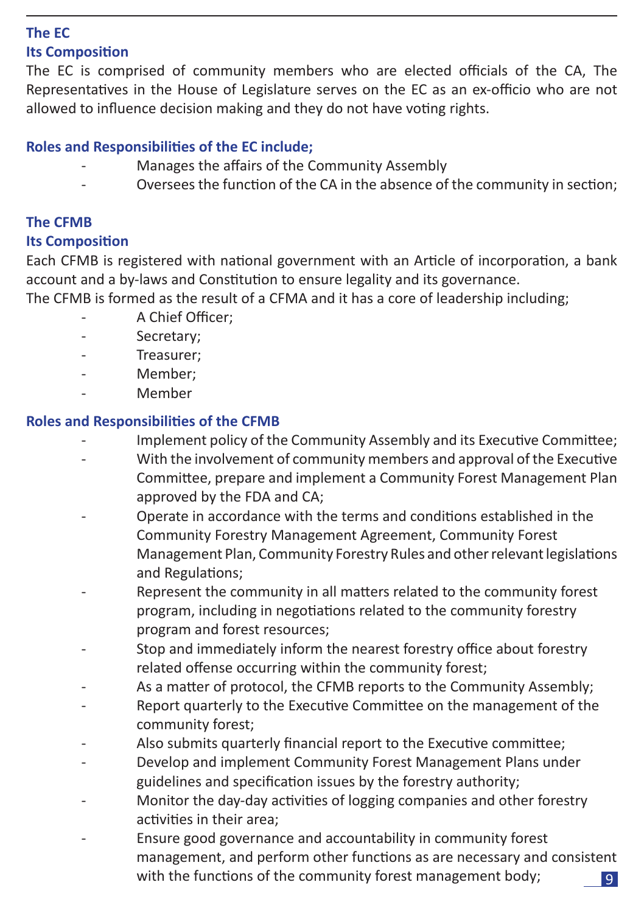# **The EC**

#### **Its Composition**

The EC is comprised of community members who are elected officials of the CA, The Representatives in the House of Legislature serves on the EC as an ex-officio who are not allowed to influence decision making and they do not have voting rights.

### **Roles and Responsibilities of the EC include;**

- Manages the affairs of the Community Assembly
- Oversees the function of the CA in the absence of the community in section;

### **The CFMB**

#### **Its Composition**

Each CFMB is registered with national government with an Article of incorporation, a bank account and a by-laws and Constitution to ensure legality and its governance.

The CFMB is formed as the result of a CFMA and it has a core of leadership including;

- A Chief Officer;
- Secretary;
- Treasurer:
- Member:
- Member

#### **Roles and Responsibilities of the CFMB**

- Implement policy of the Community Assembly and its Executive Committee;
- With the involvement of community members and approval of the Executive Committee, prepare and implement a Community Forest Management Plan approved by the FDA and CA;
- Operate in accordance with the terms and conditions established in the Community Forestry Management Agreement, Community Forest Management Plan, Community Forestry Rules and other relevant legislations and Regulations;
- Represent the community in all matters related to the community forest program, including in negotiations related to the community forestry program and forest resources;
- Stop and immediately inform the nearest forestry office about forestry related offense occurring within the community forest;
- As a matter of protocol, the CFMB reports to the Community Assembly;
- Report quarterly to the Executive Committee on the management of the community forest;
- Also submits quarterly financial report to the Executive committee;
- Develop and implement Community Forest Management Plans under guidelines and specification issues by the forestry authority;
- Monitor the day-day activities of logging companies and other forestry activities in their area;
- Ensure good governance and accountability in community forest management, and perform other functions as are necessary and consistent with the functions of the community forest management body;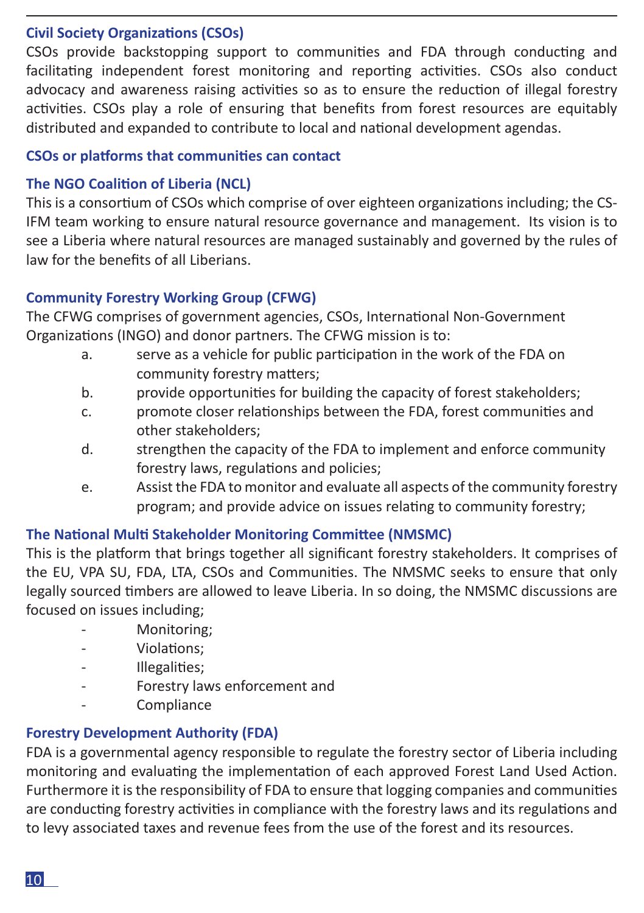### **Civil Society Organizations (CSOs)**

CSOs provide backstopping support to communities and FDA through conducting and facilitating independent forest monitoring and reporting activities. CSOs also conduct advocacy and awareness raising activities so as to ensure the reduction of illegal forestry activities. CSOs play a role of ensuring that benefits from forest resources are equitably distributed and expanded to contribute to local and national development agendas.

### **CSOs or platforms that communities can contact**

# **The NGO Coalition of Liberia (NCL)**

This is a consortium of CSOs which comprise of over eighteen organizations including; the CS-IFM team working to ensure natural resource governance and management. Its vision is to see a Liberia where natural resources are managed sustainably and governed by the rules of law for the benefits of all Liberians.

# **Community Forestry Working Group (CFWG)**

The CFWG comprises of government agencies, CSOs, International Non-Government Organizations (INGO) and donor partners. The CFWG mission is to:

- a. serve as a vehicle for public participation in the work of the FDA on community forestry matters;
- b. provide opportunities for building the capacity of forest stakeholders;
- c. promote closer relationships between the FDA, forest communities and other stakeholders;
- d. strengthen the capacity of the FDA to implement and enforce community forestry laws, regulations and policies;
- e. Assist the FDA to monitor and evaluate all aspects of the community forestry program; and provide advice on issues relating to community forestry;

### **The National Multi Stakeholder Monitoring Committee (NMSMC)**

This is the platform that brings together all significant forestry stakeholders. It comprises of the EU, VPA SU, FDA, LTA, CSOs and Communities. The NMSMC seeks to ensure that only legally sourced timbers are allowed to leave Liberia. In so doing, the NMSMC discussions are focused on issues including;

- Monitoring;
- Violations;
- Illegalities;
- Forestry laws enforcement and
- **Compliance**

### **Forestry Development Authority (FDA)**

FDA is a governmental agency responsible to regulate the forestry sector of Liberia including monitoring and evaluating the implementation of each approved Forest Land Used Action. Furthermore it is the responsibility of FDA to ensure that logging companies and communities are conducting forestry activities in compliance with the forestry laws and its regulations and to levy associated taxes and revenue fees from the use of the forest and its resources.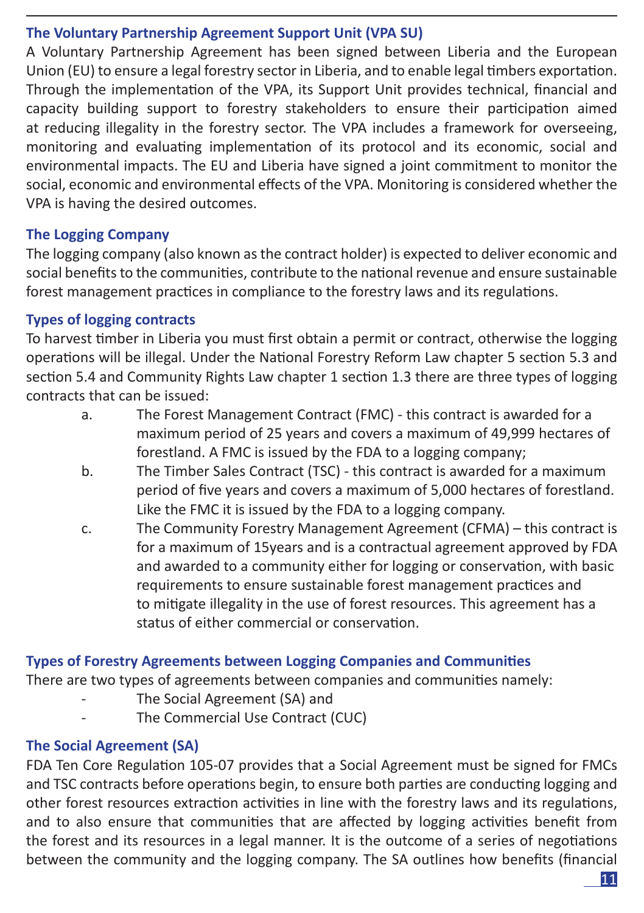### **The Voluntary Partnership Agreement Support Unit (VPA SU)**

A Voluntary Partnership Agreement has been signed between Liberia and the European Union (EU) to ensure a legal forestry sector in Liberia, and to enable legal timbers exportation. Through the implementation of the VPA, its Support Unit provides technical, financial and capacity building support to forestry stakeholders to ensure their participation aimed at reducing illegality in the forestry sector. The VPA includes a framework for overseeing, monitoring and evaluating implementation of its protocol and its economic, social and environmental impacts. The EU and Liberia have signed a joint commitment to monitor the social, economic and environmental effects of the VPA. Monitoring is considered whether the VPA is having the desired outcomes.

### **The Logging Company**

The logging company (also known as the contract holder) is expected to deliver economic and social benefits to the communities, contribute to the national revenue and ensure sustainable forest management practices in compliance to the forestry laws and its regulations.

### **Types of logging contracts**

To harvest timber in Liberia you must first obtain a permit or contract, otherwise the logging operations will be illegal. Under the National Forestry Reform Law chapter 5 section 5.3 and section 5.4 and Community Rights Law chapter 1 section 1.3 there are three types of logging contracts that can be issued:

- a. The Forest Management Contract (FMC) this contract is awarded for a maximum period of 25 years and covers a maximum of 49,999 hectares of forestland. A FMC is issued by the FDA to a logging company;
- b. The Timber Sales Contract (TSC) this contract is awarded for a maximum period of five years and covers a maximum of 5,000 hectares of forestland. Like the FMC it is issued by the FDA to a logging company.
- c. The Community Forestry Management Agreement (CFMA) this contract is for a maximum of 15years and is a contractual agreement approved by FDA and awarded to a community either for logging or conservation, with basic requirements to ensure sustainable forest management practices and to mitigate illegality in the use of forest resources. This agreement has a status of either commercial or conservation.

### **Types of Forestry Agreements between Logging Companies and Communities**

There are two types of agreements between companies and communities namely:

- The Social Agreement (SA) and
- The Commercial Use Contract (CUC)

### **The Social Agreement (SA)**

FDA Ten Core Regulation 105-07 provides that a Social Agreement must be signed for FMCs and TSC contracts before operations begin, to ensure both parties are conducting logging and other forest resources extraction activities in line with the forestry laws and its regulations, and to also ensure that communities that are affected by logging activities benefit from the forest and its resources in a legal manner. It is the outcome of a series of negotiations between the community and the logging company. The SA outlines how benefits (financial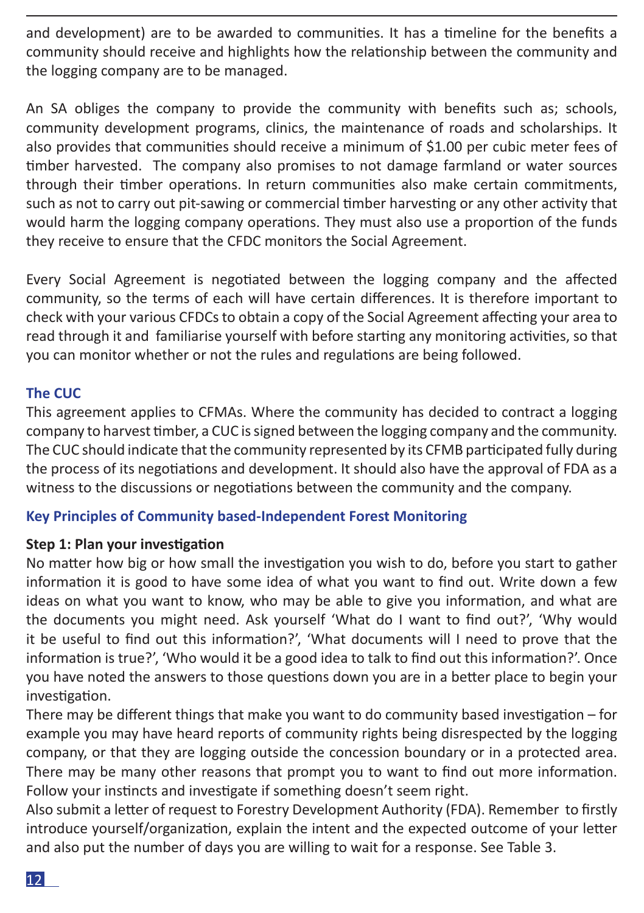and development) are to be awarded to communities. It has a timeline for the benefits a community should receive and highlights how the relationship between the community and the logging company are to be managed.

An SA obliges the company to provide the community with benefits such as; schools, community development programs, clinics, the maintenance of roads and scholarships. It also provides that communities should receive a minimum of \$1.00 per cubic meter fees of timber harvested. The company also promises to not damage farmland or water sources through their timber operations. In return communities also make certain commitments, such as not to carry out pit-sawing or commercial timber harvesting or any other activity that would harm the logging company operations. They must also use a proportion of the funds they receive to ensure that the CFDC monitors the Social Agreement.

Every Social Agreement is negotiated between the logging company and the affected community, so the terms of each will have certain differences. It is therefore important to check with your various CFDCs to obtain a copy of the Social Agreement affecting your area to read through it and familiarise yourself with before starting any monitoring activities, so that you can monitor whether or not the rules and regulations are being followed.

#### **The CUC**

This agreement applies to CFMAs. Where the community has decided to contract a logging company to harvest timber, a CUC is signed between the logging company and the community. The CUC should indicate that the community represented by its CFMB participated fully during the process of its negotiations and development. It should also have the approval of FDA as a witness to the discussions or negotiations between the community and the company.

#### **Key Principles of Community based-Independent Forest Monitoring**

#### **Step 1: Plan your investigation**

No matter how big or how small the investigation you wish to do, before you start to gather information it is good to have some idea of what you want to find out. Write down a few ideas on what you want to know, who may be able to give you information, and what are the documents you might need. Ask yourself 'What do I want to find out?', 'Why would it be useful to find out this information?', 'What documents will I need to prove that the information is true?', 'Who would it be a good idea to talk to find out this information?'. Once you have noted the answers to those questions down you are in a better place to begin your investigation.

There may be different things that make you want to do community based investigation – for example you may have heard reports of community rights being disrespected by the logging company, or that they are logging outside the concession boundary or in a protected area. There may be many other reasons that prompt you to want to find out more information. Follow your instincts and investigate if something doesn't seem right.

Also submit a letter of request to Forestry Development Authority (FDA). Remember to firstly introduce yourself/organization, explain the intent and the expected outcome of your letter and also put the number of days you are willing to wait for a response. See Table 3.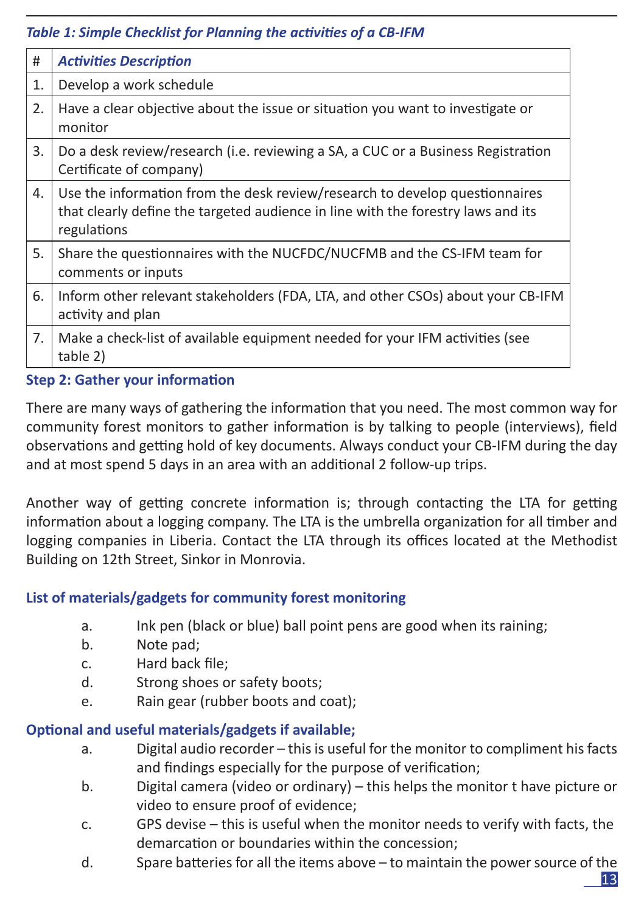### *Table 1: Simple Checklist for Planning the activities of a CB-IFM*

| <b>Activities Description</b>                                                                                                                                                  |
|--------------------------------------------------------------------------------------------------------------------------------------------------------------------------------|
| Develop a work schedule                                                                                                                                                        |
| Have a clear objective about the issue or situation you want to investigate or<br>monitor                                                                                      |
| Do a desk review/research (i.e. reviewing a SA, a CUC or a Business Registration<br>Certificate of company)                                                                    |
| Use the information from the desk review/research to develop questionnaires<br>that clearly define the targeted audience in line with the forestry laws and its<br>regulations |
| Share the questionnaires with the NUCFDC/NUCFMB and the CS-IFM team for<br>comments or inputs                                                                                  |
| Inform other relevant stakeholders (FDA, LTA, and other CSOs) about your CB-IFM<br>activity and plan                                                                           |
| Make a check-list of available equipment needed for your IFM activities (see<br>table 2)                                                                                       |
|                                                                                                                                                                                |

### **Step 2: Gather your information**

There are many ways of gathering the information that you need. The most common way for community forest monitors to gather information is by talking to people (interviews), field observations and getting hold of key documents. Always conduct your CB-IFM during the day and at most spend 5 days in an area with an additional 2 follow-up trips.

Another way of getting concrete information is; through contacting the LTA for getting information about a logging company. The LTA is the umbrella organization for all timber and logging companies in Liberia. Contact the LTA through its offices located at the Methodist Building on 12th Street, Sinkor in Monrovia.

### **List of materials/gadgets for community forest monitoring**

- a. Ink pen (black or blue) ball point pens are good when its raining;
- b. Note pad;
- c. Hard back file;
- d. Strong shoes or safety boots;
- e. Rain gear (rubber boots and coat);

### **Optional and useful materials/gadgets if available;**

- a. Digital audio recorder this is useful for the monitor to compliment his facts and findings especially for the purpose of verification;
- b. Digital camera (video or ordinary) this helps the monitor t have picture or video to ensure proof of evidence;
- c. GPS devise this is useful when the monitor needs to verify with facts, the demarcation or boundaries within the concession;
- d. Spare batteries for all the items above to maintain the power source of the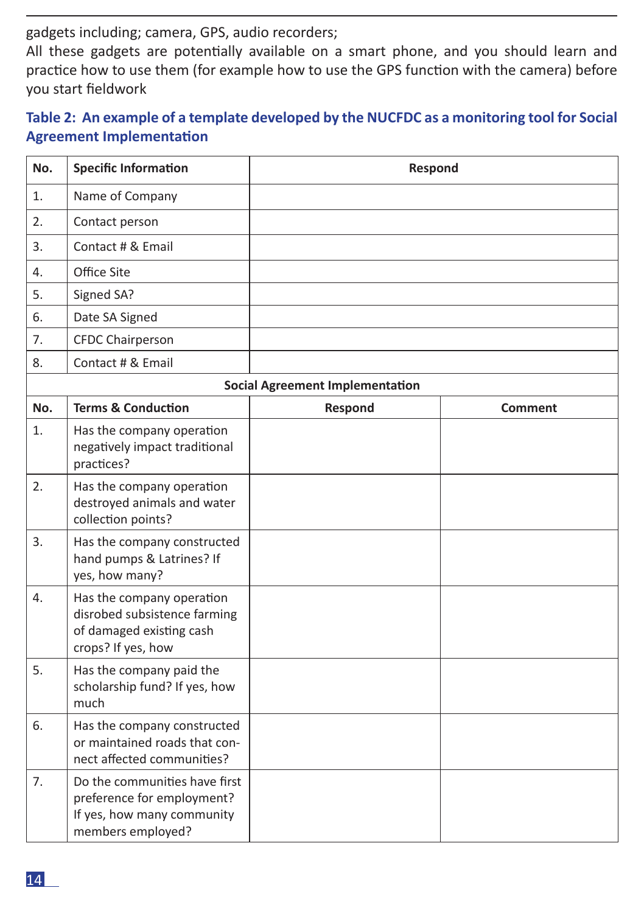gadgets including; camera, GPS, audio recorders;

All these gadgets are potentially available on a smart phone, and you should learn and practice how to use them (for example how to use the GPS function with the camera) before you start fieldwork

# **Table 2: An example of a template developed by the NUCFDC as a monitoring tool for Social Agreement Implementation**

| No. | <b>Specific Information</b>                                                                                    | Respond                                |         |
|-----|----------------------------------------------------------------------------------------------------------------|----------------------------------------|---------|
| 1.  | Name of Company                                                                                                |                                        |         |
| 2.  | Contact person                                                                                                 |                                        |         |
| 3.  | Contact # & Email                                                                                              |                                        |         |
| 4.  | Office Site                                                                                                    |                                        |         |
| 5.  | Signed SA?                                                                                                     |                                        |         |
| 6.  | Date SA Signed                                                                                                 |                                        |         |
| 7.  | <b>CFDC Chairperson</b>                                                                                        |                                        |         |
| 8.  | Contact # & Email                                                                                              |                                        |         |
|     |                                                                                                                | <b>Social Agreement Implementation</b> |         |
| No. | <b>Terms &amp; Conduction</b>                                                                                  | Respond                                | Comment |
| 1.  | Has the company operation<br>negatively impact traditional<br>practices?                                       |                                        |         |
| 2.  | Has the company operation<br>destroyed animals and water<br>collection points?                                 |                                        |         |
| 3.  | Has the company constructed<br>hand pumps & Latrines? If<br>yes, how many?                                     |                                        |         |
| 4.  | Has the company operation<br>disrobed subsistence farming<br>of damaged existing cash<br>crops? If yes, how    |                                        |         |
| 5.  | Has the company paid the<br>scholarship fund? If yes, how<br>much                                              |                                        |         |
| 6.  | Has the company constructed<br>or maintained roads that con-<br>nect affected communities?                     |                                        |         |
| 7.  | Do the communities have first<br>preference for employment?<br>If yes, how many community<br>members employed? |                                        |         |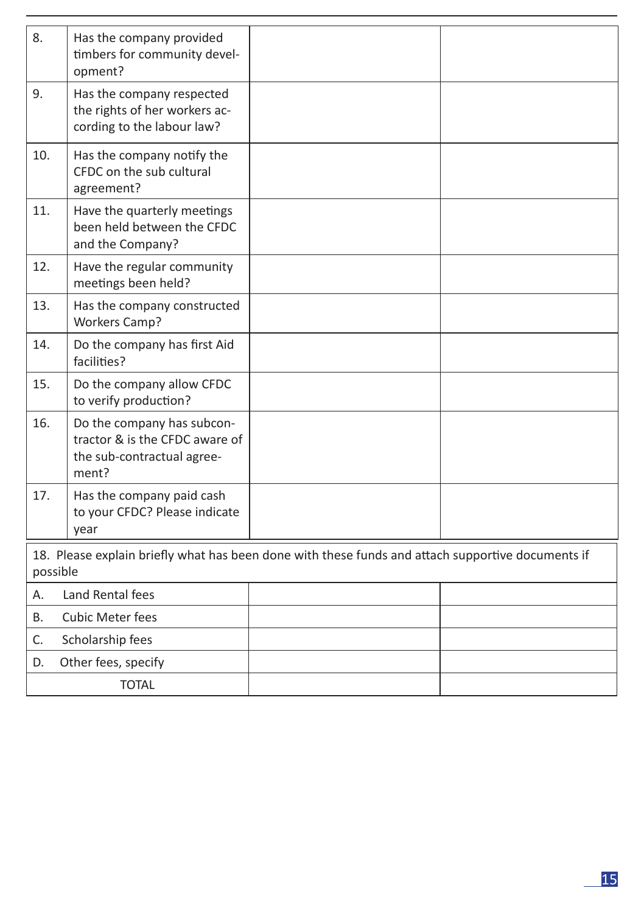| 8.                                                                                                            | Has the company provided<br>timbers for community devel-<br>opment?                                 |  |  |
|---------------------------------------------------------------------------------------------------------------|-----------------------------------------------------------------------------------------------------|--|--|
| 9.                                                                                                            | Has the company respected<br>the rights of her workers ac-<br>cording to the labour law?            |  |  |
| 10.                                                                                                           | Has the company notify the<br>CFDC on the sub cultural<br>agreement?                                |  |  |
| 11.                                                                                                           | Have the quarterly meetings<br>been held between the CFDC<br>and the Company?                       |  |  |
| 12.                                                                                                           | Have the regular community<br>meetings been held?                                                   |  |  |
| 13.                                                                                                           | Has the company constructed<br><b>Workers Camp?</b>                                                 |  |  |
| 14.                                                                                                           | Do the company has first Aid<br>facilities?                                                         |  |  |
| 15.                                                                                                           | Do the company allow CFDC<br>to verify production?                                                  |  |  |
| 16.                                                                                                           | Do the company has subcon-<br>tractor & is the CFDC aware of<br>the sub-contractual agree-<br>ment? |  |  |
| 17.                                                                                                           | Has the company paid cash<br>to your CFDC? Please indicate<br>year                                  |  |  |
| 18. Please explain briefly what has been done with these funds and attach supportive documents if<br>possible |                                                                                                     |  |  |
| А.                                                                                                            | Land Rental fees                                                                                    |  |  |
| В.                                                                                                            | <b>Cubic Meter fees</b>                                                                             |  |  |
| C.                                                                                                            | Scholarship fees                                                                                    |  |  |
| D.                                                                                                            | Other fees, specify                                                                                 |  |  |
|                                                                                                               | <b>TOTAL</b>                                                                                        |  |  |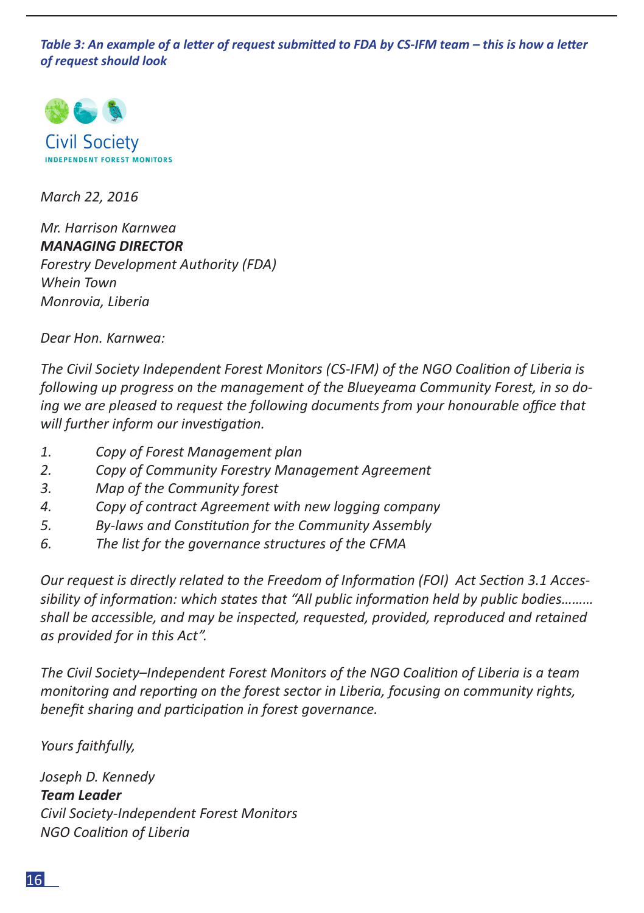*Table 3: An example of a letter of request submitted to FDA by CS-IFM team – this is how a letter of request should look*



*March 22, 2016*

*Mr. Harrison Karnwea MANAGING DIRECTOR Forestry Development Authority (FDA) Whein Town Monrovia, Liberia*

*Dear Hon. Karnwea:*

*The Civil Society Independent Forest Monitors (CS-IFM) of the NGO Coalition of Liberia is following up progress on the management of the Blueyeama Community Forest, in so doing we are pleased to request the following documents from your honourable office that will further inform our investigation.*

- *1. Copy of Forest Management plan*
- *2. Copy of Community Forestry Management Agreement*
- *3. Map of the Community forest*
- *4. Copy of contract Agreement with new logging company*
- *5. By-laws and Constitution for the Community Assembly*
- *6. The list for the governance structures of the CFMA*

*Our request is directly related to the Freedom of Information (FOI) Act Section 3.1 Accessibility of information: which states that "All public information held by public bodies……… shall be accessible, and may be inspected, requested, provided, reproduced and retained as provided for in this Act".*

*The Civil Society–Independent Forest Monitors of the NGO Coalition of Liberia is a team monitoring and reporting on the forest sector in Liberia, focusing on community rights, benefit sharing and participation in forest governance.* 

*Yours faithfully,*

*Joseph D. Kennedy Team Leader Civil Society-Independent Forest Monitors NGO Coalition of Liberia*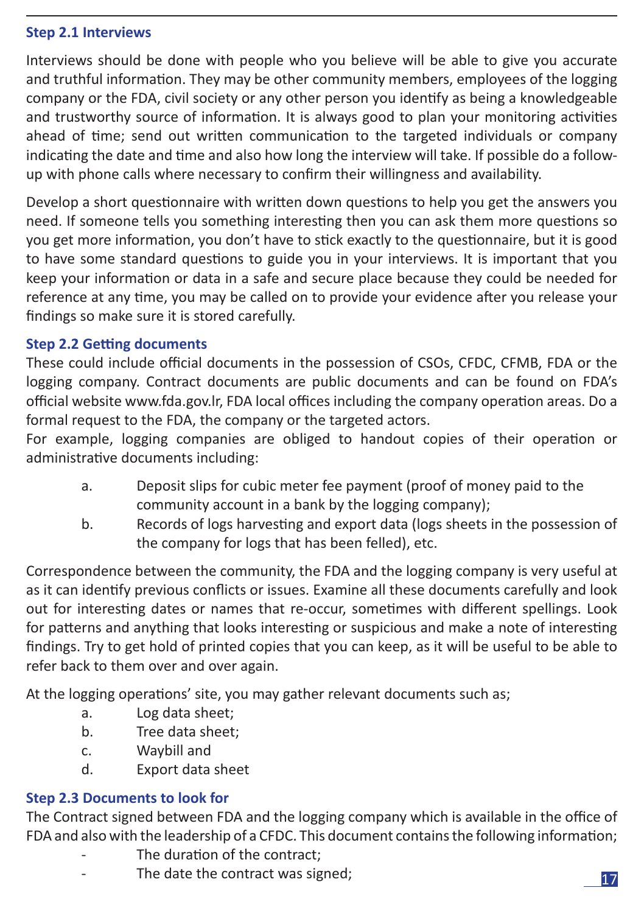#### **Step 2.1 Interviews**

Interviews should be done with people who you believe will be able to give you accurate and truthful information. They may be other community members, employees of the logging company or the FDA, civil society or any other person you identify as being a knowledgeable and trustworthy source of information. It is always good to plan your monitoring activities ahead of time; send out written communication to the targeted individuals or company indicating the date and time and also how long the interview will take. If possible do a followup with phone calls where necessary to confirm their willingness and availability.

Develop a short questionnaire with written down questions to help you get the answers you need. If someone tells you something interesting then you can ask them more questions so you get more information, you don't have to stick exactly to the questionnaire, but it is good to have some standard questions to guide you in your interviews. It is important that you keep your information or data in a safe and secure place because they could be needed for reference at any time, you may be called on to provide your evidence after you release your findings so make sure it is stored carefully.

### **Step 2.2 Getting documents**

These could include official documents in the possession of CSOs, CFDC, CFMB, FDA or the logging company. Contract documents are public documents and can be found on FDA's official website www.fda.gov.lr, FDA local offices including the company operation areas. Do a formal request to the FDA, the company or the targeted actors.

For example, logging companies are obliged to handout copies of their operation or administrative documents including:

- a. Deposit slips for cubic meter fee payment (proof of money paid to the community account in a bank by the logging company);
- b. Records of logs harvesting and export data (logs sheets in the possession of the company for logs that has been felled), etc.

Correspondence between the community, the FDA and the logging company is very useful at as it can identify previous conflicts or issues. Examine all these documents carefully and look out for interesting dates or names that re-occur, sometimes with different spellings. Look for patterns and anything that looks interesting or suspicious and make a note of interesting findings. Try to get hold of printed copies that you can keep, as it will be useful to be able to refer back to them over and over again.

At the logging operations' site, you may gather relevant documents such as;

- a. Log data sheet;
- b. Tree data sheet;
- c. Waybill and
- d. Export data sheet

### **Step 2.3 Documents to look for**

The Contract signed between FDA and the logging company which is available in the office of FDA and also with the leadership of a CFDC. This document contains the following information;

- The duration of the contract:
- The date the contract was signed; 17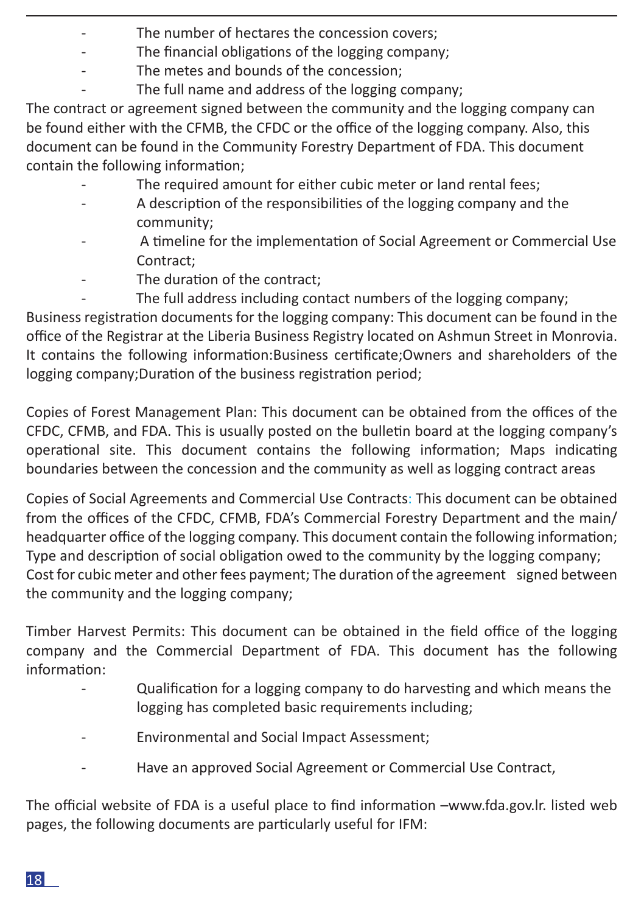- The number of hectares the concession covers;
- The financial obligations of the logging company:
- The metes and bounds of the concession:
- The full name and address of the logging company:

The contract or agreement signed between the community and the logging company can be found either with the CFMB, the CFDC or the office of the logging company. Also, this document can be found in the Community Forestry Department of FDA. This document contain the following information;

- The required amount for either cubic meter or land rental fees;
- A description of the responsibilities of the logging company and the community;
- A timeline for the implementation of Social Agreement or Commercial Use Contract:
- The duration of the contract:
- The full address including contact numbers of the logging company;

Business registration documents for the logging company: This document can be found in the office of the Registrar at the Liberia Business Registry located on Ashmun Street in Monrovia. It contains the following information:Business certificate;Owners and shareholders of the logging company;Duration of the business registration period;

Copies of Forest Management Plan: This document can be obtained from the offices of the CFDC, CFMB, and FDA. This is usually posted on the bulletin board at the logging company's operational site. This document contains the following information; Maps indicating boundaries between the concession and the community as well as logging contract areas

Copies of Social Agreements and Commercial Use Contracts: This document can be obtained from the offices of the CFDC, CFMB, FDA's Commercial Forestry Department and the main/ headquarter office of the logging company. This document contain the following information; Type and description of social obligation owed to the community by the logging company; Cost for cubic meter and other fees payment; The duration of the agreement signed between the community and the logging company;

Timber Harvest Permits: This document can be obtained in the field office of the logging company and the Commercial Department of FDA. This document has the following information:

- Qualification for a logging company to do harvesting and which means the logging has completed basic requirements including;
- Environmental and Social Impact Assessment;
- Have an approved Social Agreement or Commercial Use Contract,

The official website of FDA is a useful place to find information –www.fda.gov.lr. listed web pages, the following documents are particularly useful for IFM: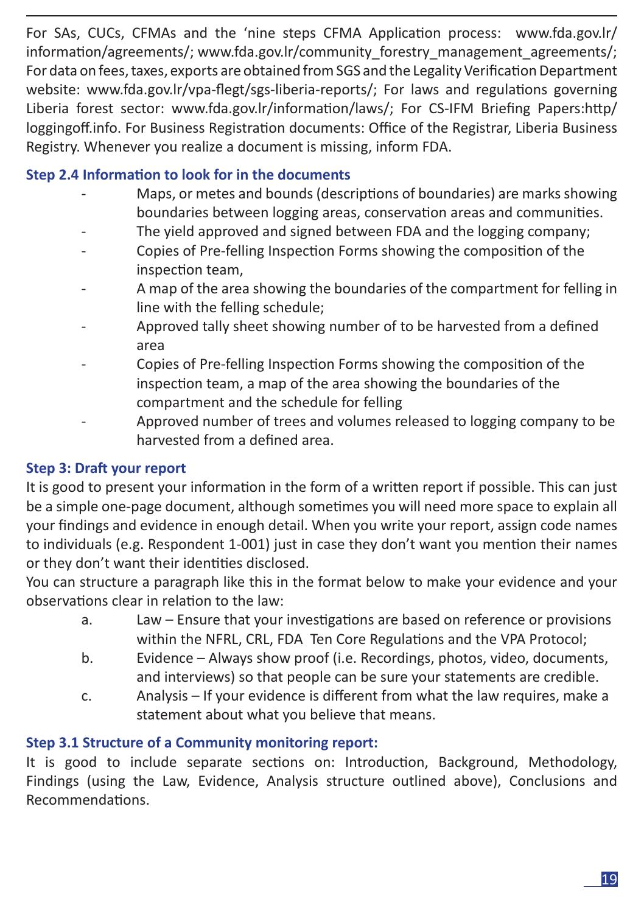For SAs, CUCs, CFMAs and the 'nine steps CFMA Application process: www.fda.gov.lr/ information/agreements/; www.fda.gov.lr/community\_forestry\_management\_agreements/; For data on fees, taxes, exports are obtained from SGS and the Legality Verification Department website: www.fda.gov.lr/vpa-flegt/sgs-liberia-reports/; For laws and regulations governing Liberia forest sector: www.fda.gov.lr/information/laws/; For CS-IFM Briefing Papers:http/ loggingoff.info. For Business Registration documents: Office of the Registrar, Liberia Business Registry. Whenever you realize a document is missing, inform FDA.

### **Step 2.4 Information to look for in the documents**

- Maps, or metes and bounds (descriptions of boundaries) are marks showing boundaries between logging areas, conservation areas and communities.
- The yield approved and signed between FDA and the logging company;
- Copies of Pre-felling Inspection Forms showing the composition of the inspection team,
- A map of the area showing the boundaries of the compartment for felling in line with the felling schedule;
- Approved tally sheet showing number of to be harvested from a defined area
- Copies of Pre-felling Inspection Forms showing the composition of the inspection team, a map of the area showing the boundaries of the compartment and the schedule for felling
	- Approved number of trees and volumes released to logging company to be harvested from a defined area.

### **Step 3: Draft your report**

It is good to present your information in the form of a written report if possible. This can just be a simple one-page document, although sometimes you will need more space to explain all your findings and evidence in enough detail. When you write your report, assign code names to individuals (e.g. Respondent 1-001) just in case they don't want you mention their names or they don't want their identities disclosed.

You can structure a paragraph like this in the format below to make your evidence and your observations clear in relation to the law:

- a. Law Ensure that your investigations are based on reference or provisions within the NFRL, CRL, FDA Ten Core Regulations and the VPA Protocol;
- b. Evidence Always show proof (i.e. Recordings, photos, video, documents, and interviews) so that people can be sure your statements are credible.
- c. Analysis If your evidence is different from what the law requires, make a statement about what you believe that means.

### **Step 3.1 Structure of a Community monitoring report:**

It is good to include separate sections on: Introduction, Background, Methodology, Findings (using the Law, Evidence, Analysis structure outlined above), Conclusions and Recommendations.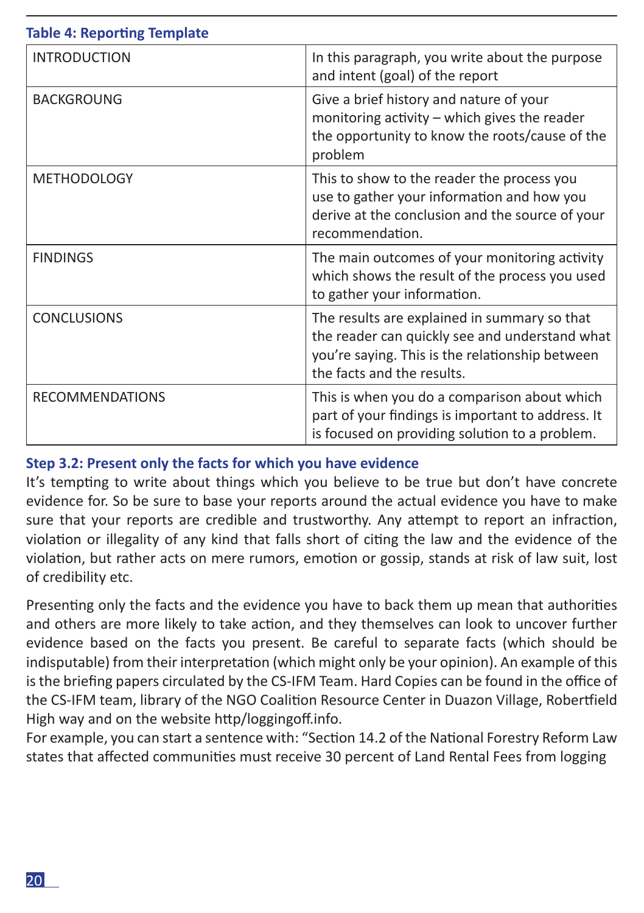| <b>Table 4: Reporting Template</b> |                                                                                                                                                                                 |  |  |
|------------------------------------|---------------------------------------------------------------------------------------------------------------------------------------------------------------------------------|--|--|
| <b>INTRODUCTION</b>                | In this paragraph, you write about the purpose<br>and intent (goal) of the report                                                                                               |  |  |
| <b>BACKGROUNG</b>                  | Give a brief history and nature of your<br>monitoring activity - which gives the reader<br>the opportunity to know the roots/cause of the<br>problem                            |  |  |
| <b>METHODOLOGY</b>                 | This to show to the reader the process you<br>use to gather your information and how you<br>derive at the conclusion and the source of your<br>recommendation.                  |  |  |
| <b>FINDINGS</b>                    | The main outcomes of your monitoring activity<br>which shows the result of the process you used<br>to gather your information.                                                  |  |  |
| <b>CONCLUSIONS</b>                 | The results are explained in summary so that<br>the reader can quickly see and understand what<br>you're saying. This is the relationship between<br>the facts and the results. |  |  |
| <b>RECOMMENDATIONS</b>             | This is when you do a comparison about which<br>part of your findings is important to address. It<br>is focused on providing solution to a problem.                             |  |  |

#### **Step 3.2: Present only the facts for which you have evidence**

It's tempting to write about things which you believe to be true but don't have concrete evidence for. So be sure to base your reports around the actual evidence you have to make sure that your reports are credible and trustworthy. Any attempt to report an infraction, violation or illegality of any kind that falls short of citing the law and the evidence of the violation, but rather acts on mere rumors, emotion or gossip, stands at risk of law suit, lost of credibility etc.

Presenting only the facts and the evidence you have to back them up mean that authorities and others are more likely to take action, and they themselves can look to uncover further evidence based on the facts you present. Be careful to separate facts (which should be indisputable) from their interpretation (which might only be your opinion). An example of this is the briefing papers circulated by the CS-IFM Team. Hard Copies can be found in the office of the CS-IFM team, library of the NGO Coalition Resource Center in Duazon Village, Robertfield High way and on the website http/loggingoff.info.

For example, you can start a sentence with: "Section 14.2 of the National Forestry Reform Law states that affected communities must receive 30 percent of Land Rental Fees from logging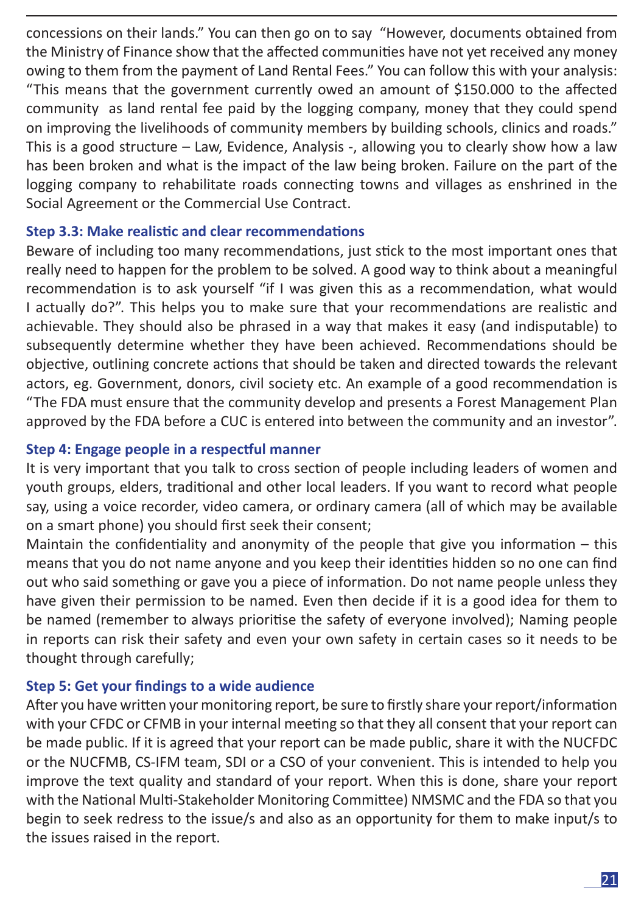concessions on their lands." You can then go on to say "However, documents obtained from the Ministry of Finance show that the affected communities have not yet received any money owing to them from the payment of Land Rental Fees." You can follow this with your analysis: "This means that the government currently owed an amount of \$150.000 to the affected community as land rental fee paid by the logging company, money that they could spend on improving the livelihoods of community members by building schools, clinics and roads." This is a good structure – Law, Evidence, Analysis -, allowing you to clearly show how a law has been broken and what is the impact of the law being broken. Failure on the part of the logging company to rehabilitate roads connecting towns and villages as enshrined in the Social Agreement or the Commercial Use Contract.

#### **Step 3.3: Make realistic and clear recommendations**

Beware of including too many recommendations, just stick to the most important ones that really need to happen for the problem to be solved. A good way to think about a meaningful recommendation is to ask yourself "if I was given this as a recommendation, what would I actually do?". This helps you to make sure that your recommendations are realistic and achievable. They should also be phrased in a way that makes it easy (and indisputable) to subsequently determine whether they have been achieved. Recommendations should be objective, outlining concrete actions that should be taken and directed towards the relevant actors, eg. Government, donors, civil society etc. An example of a good recommendation is "The FDA must ensure that the community develop and presents a Forest Management Plan approved by the FDA before a CUC is entered into between the community and an investor".

#### **Step 4: Engage people in a respectful manner**

It is very important that you talk to cross section of people including leaders of women and youth groups, elders, traditional and other local leaders. If you want to record what people say, using a voice recorder, video camera, or ordinary camera (all of which may be available on a smart phone) you should first seek their consent;

Maintain the confidentiality and anonymity of the people that give you information – this means that you do not name anyone and you keep their identities hidden so no one can find out who said something or gave you a piece of information. Do not name people unless they have given their permission to be named. Even then decide if it is a good idea for them to be named (remember to always prioritise the safety of everyone involved); Naming people in reports can risk their safety and even your own safety in certain cases so it needs to be thought through carefully;

### **Step 5: Get your findings to a wide audience**

After you have written your monitoring report, be sure to firstly share your report/information with your CFDC or CFMB in your internal meeting so that they all consent that your report can be made public. If it is agreed that your report can be made public, share it with the NUCFDC or the NUCFMB, CS-IFM team, SDI or a CSO of your convenient. This is intended to help you improve the text quality and standard of your report. When this is done, share your report with the National Multi-Stakeholder Monitoring Committee) NMSMC and the FDA so that you begin to seek redress to the issue/s and also as an opportunity for them to make input/s to the issues raised in the report.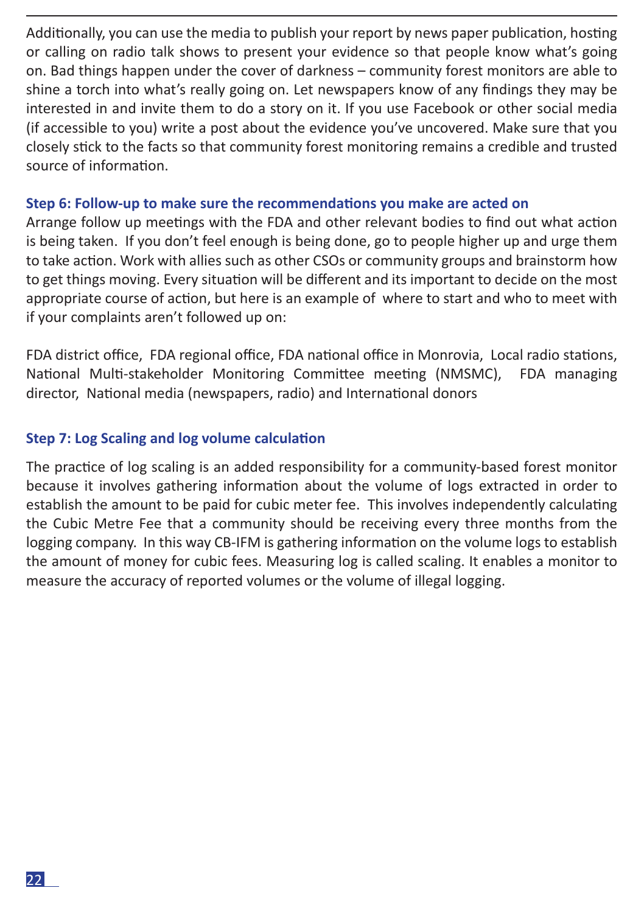Additionally, you can use the media to publish your report by news paper publication, hosting or calling on radio talk shows to present your evidence so that people know what's going on. Bad things happen under the cover of darkness – community forest monitors are able to shine a torch into what's really going on. Let newspapers know of any findings they may be interested in and invite them to do a story on it. If you use Facebook or other social media (if accessible to you) write a post about the evidence you've uncovered. Make sure that you closely stick to the facts so that community forest monitoring remains a credible and trusted source of information.

#### **Step 6: Follow-up to make sure the recommendations you make are acted on**

Arrange follow up meetings with the FDA and other relevant bodies to find out what action is being taken. If you don't feel enough is being done, go to people higher up and urge them to take action. Work with allies such as other CSOs or community groups and brainstorm how to get things moving. Every situation will be different and its important to decide on the most appropriate course of action, but here is an example of where to start and who to meet with if your complaints aren't followed up on:

FDA district office, FDA regional office, FDA national office in Monrovia, Local radio stations, National Multi-stakeholder Monitoring Committee meeting (NMSMC), FDA managing director, National media (newspapers, radio) and International donors

### **Step 7: Log Scaling and log volume calculation**

The practice of log scaling is an added responsibility for a community-based forest monitor because it involves gathering information about the volume of logs extracted in order to establish the amount to be paid for cubic meter fee. This involves independently calculating the Cubic Metre Fee that a community should be receiving every three months from the logging company. In this way CB-IFM is gathering information on the volume logs to establish the amount of money for cubic fees. Measuring log is called scaling. It enables a monitor to measure the accuracy of reported volumes or the volume of illegal logging.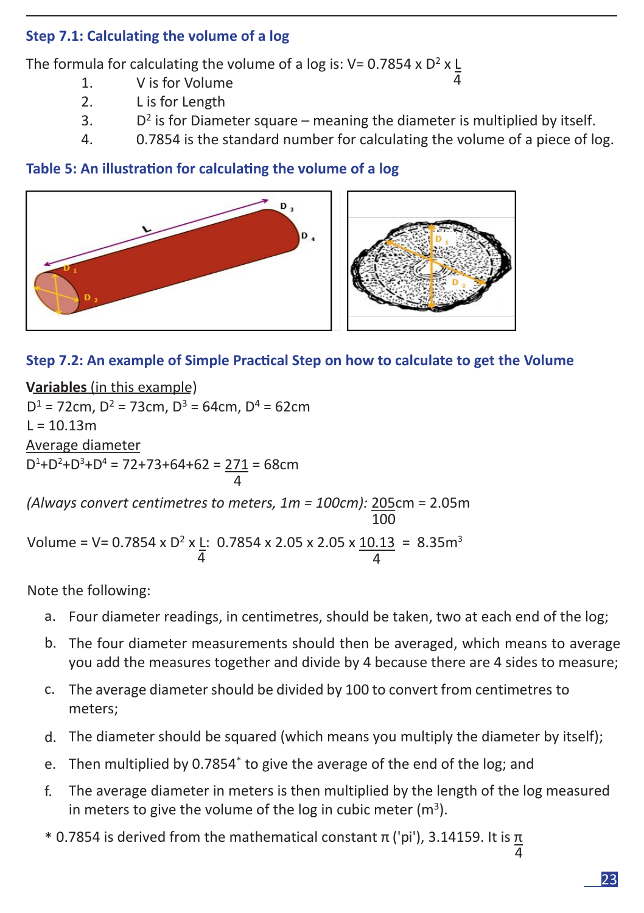# **Step 7.1: Calculating the volume of a log**

The formula for calculating the volume of a log is:  $V = 0.7854 \times D^2 \times L$ 

- 1. V is for Volume
- 2. L is for Length
- $\overline{3}$ .  $2$  is for Diameter square – meaning the diameter is multiplied by itself.
- 4. 0.7854 is the standard number for calculating the volume of a piece of log.

4

### **Table 5: An illustration for calculating the volume of a log**



### **Step 7.2: An example of Simple Practical Step on how to calculate to get the Volume**

**Variables** (in this example)  $D^1$  = 72cm,  $D^2$  = 73cm,  $D^3$  = 64cm,  $D^4$  = 62cm  $I = 10.13m$ Average diameter  $D^1 + D^2 + D^3 + D^4 = 72 + 73 + 64 + 62 = 271 = 68$ cm 100 Volume = V= 0.7854 x D<sup>2</sup> x <u>L</u>: 0.7854 x 2.05 x 2.05 x <u>10.13</u> = 8.35m<sup>3</sup> *(Always convert centimetres to meters, 1m = 100cm):* 205cm = 2.05m 4 4 4

Note the following:

- a. Four diameter readings, in centimetres, should be taken, two at each end of the log;
- b. The four diameter measurements should then be averaged, which means to average you add the measures together and divide by 4 because there are 4 sides to measure;
- c. The average diameter should be divided by 100 to convert from centimetres to meters;
- d. The diameter should be squared (which means you multiply the diameter by itself);
- e. Then multiplied by 0.7854\* to give the average of the end of the log; and
- f. The average diameter in meters is then multiplied by the length of the log measured in meters to give the volume of the log in cubic meter (m<sup>3</sup>).
- \* 0.7854 is derived from the mathematical constant π ('pi'), 3.14159. It is  $\overline{n}$

4